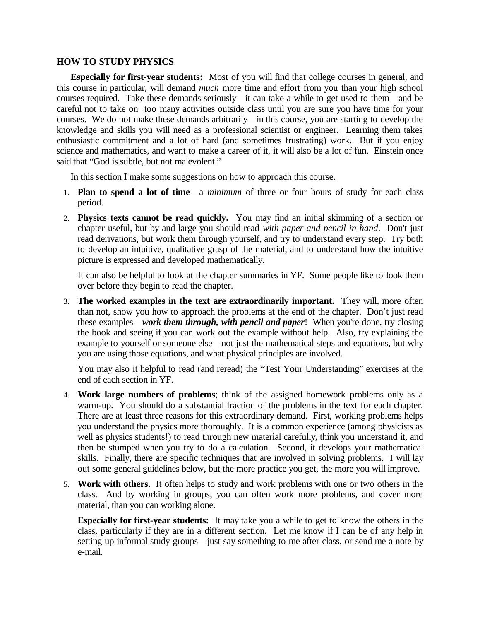## **HOW TO STUDY PHYSICS**

**Especially for first-year students:** Most of you will find that college courses in general, and this course in particular, will demand *much* more time and effort from you than your high school courses required. Take these demands seriously—it can take a while to get used to them—and be careful not to take on too many activities outside class until you are sure you have time for your courses. We do not make these demands arbitrarily—in this course, you are starting to develop the knowledge and skills you will need as a professional scientist or engineer. Learning them takes enthusiastic commitment and a lot of hard (and sometimes frustrating) work. But if you enjoy science and mathematics, and want to make a career of it, it will also be a lot of fun. Einstein once said that "God is subtle, but not malevolent."

In this section I make some suggestions on how to approach this course.

- 1. **Plan to spend a lot of time**—a *minimum* of three or four hours of study for each class period.
- 2. **Physics texts cannot be read quickly.** You may find an initial skimming of a section or chapter useful, but by and large you should read *with paper and pencil in hand*. Don't just read derivations, but work them through yourself, and try to understand every step. Try both to develop an intuitive, qualitative grasp of the material, and to understand how the intuitive picture is expressed and developed mathematically.

It can also be helpful to look at the chapter summaries in YF. Some people like to look them over before they begin to read the chapter.

3. **The worked examples in the text are extraordinarily important.** They will, more often than not, show you how to approach the problems at the end of the chapter. Don't just read these examples—*work them through, with pencil and paper*! When you're done, try closing the book and seeing if you can work out the example without help. Also, try explaining the example to yourself or someone else—not just the mathematical steps and equations, but why you are using those equations, and what physical principles are involved.

You may also it helpful to read (and reread) the "Test Your Understanding" exercises at the end of each section in YF.

- 4. **Work large numbers of problems**; think of the assigned homework problems only as a warm-up. You should do a substantial fraction of the problems in the text for each chapter. There are at least three reasons for this extraordinary demand. First, working problems helps you understand the physics more thoroughly. It is a common experience (among physicists as well as physics students!) to read through new material carefully, think you understand it, and then be stumped when you try to do a calculation. Second, it develops your mathematical skills. Finally, there are specific techniques that are involved in solving problems. I will lay out some general guidelines below, but the more practice you get, the more you will improve.
- 5. **Work with others.** It often helps to study and work problems with one or two others in the class. And by working in groups, you can often work more problems, and cover more material, than you can working alone.

**Especially for first-year students:** It may take you a while to get to know the others in the class, particularly if they are in a different section. Let me know if I can be of any help in setting up informal study groups—just say something to me after class, or send me a note by e-mail.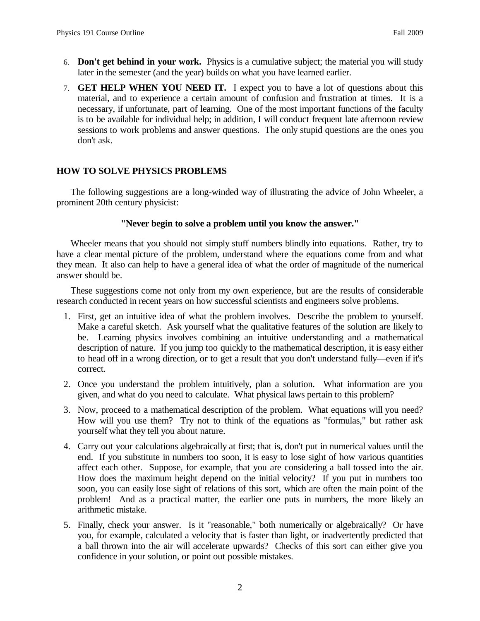- 6. **Don't get behind in your work.** Physics is a cumulative subject; the material you will study later in the semester (and the year) builds on what you have learned earlier.
- 7. **GET HELP WHEN YOU NEED IT.** I expect you to have a lot of questions about this material, and to experience a certain amount of confusion and frustration at times. It is a necessary, if unfortunate, part of learning. One of the most important functions of the faculty is to be available for individual help; in addition, I will conduct frequent late afternoon review sessions to work problems and answer questions. The only stupid questions are the ones you don't ask.

## **HOW TO SOLVE PHYSICS PROBLEMS**

The following suggestions are a long-winded way of illustrating the advice of John Wheeler, a prominent 20th century physicist:

## **"Never begin to solve a problem until you know the answer."**

Wheeler means that you should not simply stuff numbers blindly into equations. Rather, try to have a clear mental picture of the problem, understand where the equations come from and what they mean. It also can help to have a general idea of what the order of magnitude of the numerical answer should be.

These suggestions come not only from my own experience, but are the results of considerable research conducted in recent years on how successful scientists and engineers solve problems.

- 1. First, get an intuitive idea of what the problem involves. Describe the problem to yourself. Make a careful sketch. Ask yourself what the qualitative features of the solution are likely to be. Learning physics involves combining an intuitive understanding and a mathematical description of nature. If you jump too quickly to the mathematical description, it is easy either to head off in a wrong direction, or to get a result that you don't understand fully—even if it's correct.
- 2. Once you understand the problem intuitively, plan a solution. What information are you given, and what do you need to calculate. What physical laws pertain to this problem?
- 3. Now, proceed to a mathematical description of the problem. What equations will you need? How will you use them? Try not to think of the equations as "formulas," but rather ask yourself what they tell you about nature.
- 4. Carry out your calculations algebraically at first; that is, don't put in numerical values until the end. If you substitute in numbers too soon, it is easy to lose sight of how various quantities affect each other. Suppose, for example, that you are considering a ball tossed into the air. How does the maximum height depend on the initial velocity? If you put in numbers too soon, you can easily lose sight of relations of this sort, which are often the main point of the problem! And as a practical matter, the earlier one puts in numbers, the more likely an arithmetic mistake.
- 5. Finally, check your answer. Is it "reasonable," both numerically or algebraically? Or have you, for example, calculated a velocity that is faster than light, or inadvertently predicted that a ball thrown into the air will accelerate upwards? Checks of this sort can either give you confidence in your solution, or point out possible mistakes.